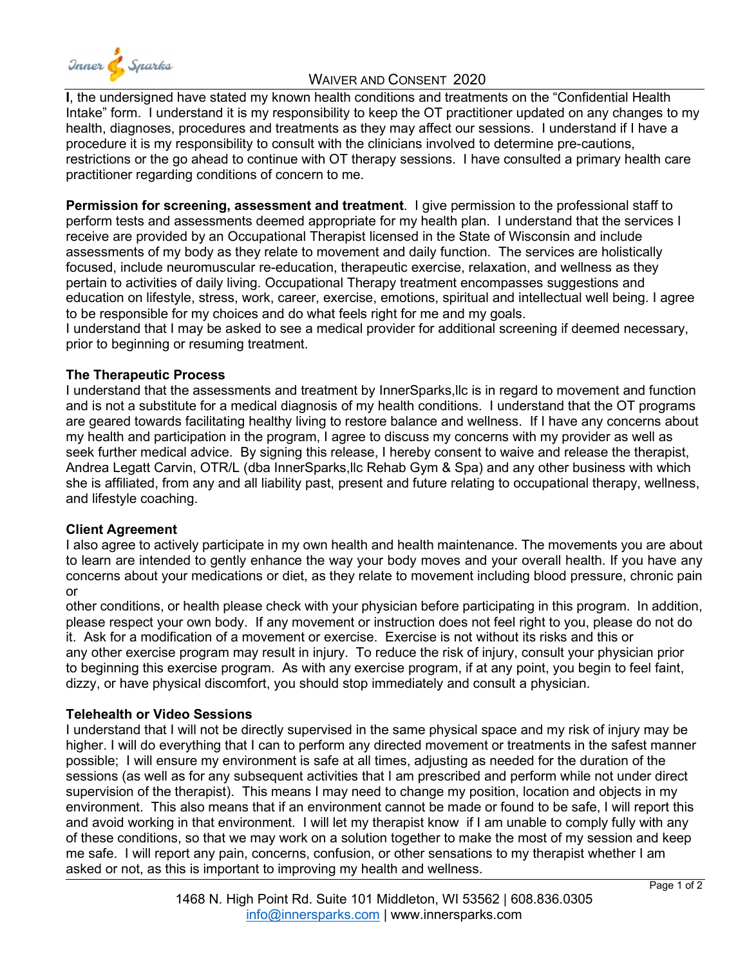

## WAIVER AND CONSENT 2020

**I**, the undersigned have stated my known health conditions and treatments on the "Confidential Health Intake" form. I understand it is my responsibility to keep the OT practitioner updated on any changes to my health, diagnoses, procedures and treatments as they may affect our sessions. I understand if I have a procedure it is my responsibility to consult with the clinicians involved to determine pre-cautions, restrictions or the go ahead to continue with OT therapy sessions. I have consulted a primary health care practitioner regarding conditions of concern to me.

**Permission for screening, assessment and treatment**. I give permission to the professional staff to perform tests and assessments deemed appropriate for my health plan. I understand that the services I receive are provided by an Occupational Therapist licensed in the State of Wisconsin and include assessments of my body as they relate to movement and daily function. The services are holistically focused, include neuromuscular re-education, therapeutic exercise, relaxation, and wellness as they pertain to activities of daily living. Occupational Therapy treatment encompasses suggestions and education on lifestyle, stress, work, career, exercise, emotions, spiritual and intellectual well being. I agree to be responsible for my choices and do what feels right for me and my goals.

I understand that I may be asked to see a medical provider for additional screening if deemed necessary, prior to beginning or resuming treatment.

### **The Therapeutic Process**

I understand that the assessments and treatment by InnerSparks,llc is in regard to movement and function and is not a substitute for a medical diagnosis of my health conditions. I understand that the OT programs are geared towards facilitating healthy living to restore balance and wellness. If I have any concerns about my health and participation in the program, I agree to discuss my concerns with my provider as well as seek further medical advice. By signing this release, I hereby consent to waive and release the therapist, Andrea Legatt Carvin, OTR/L (dba InnerSparks,llc Rehab Gym & Spa) and any other business with which she is affiliated, from any and all liability past, present and future relating to occupational therapy, wellness, and lifestyle coaching.

### **Client Agreement**

I also agree to actively participate in my own health and health maintenance. The movements you are about to learn are intended to gently enhance the way your body moves and your overall health. If you have any concerns about your medications or diet, as they relate to movement including blood pressure, chronic pain or

other conditions, or health please check with your physician before participating in this program. In addition, please respect your own body. If any movement or instruction does not feel right to you, please do not do it. Ask for a modification of a movement or exercise. Exercise is not without its risks and this or any other exercise program may result in injury. To reduce the risk of injury, consult your physician prior to beginning this exercise program. As with any exercise program, if at any point, you begin to feel faint, dizzy, or have physical discomfort, you should stop immediately and consult a physician.

### **Telehealth or Video Sessions**

I understand that I will not be directly supervised in the same physical space and my risk of injury may be higher. I will do everything that I can to perform any directed movement or treatments in the safest manner possible; I will ensure my environment is safe at all times, adjusting as needed for the duration of the sessions (as well as for any subsequent activities that I am prescribed and perform while not under direct supervision of the therapist). This means I may need to change my position, location and objects in my environment. This also means that if an environment cannot be made or found to be safe, I will report this and avoid working in that environment. I will let my therapist know if I am unable to comply fully with any of these conditions, so that we may work on a solution together to make the most of my session and keep me safe. I will report any pain, concerns, confusion, or other sensations to my therapist whether I am asked or not, as this is important to improving my health and wellness.